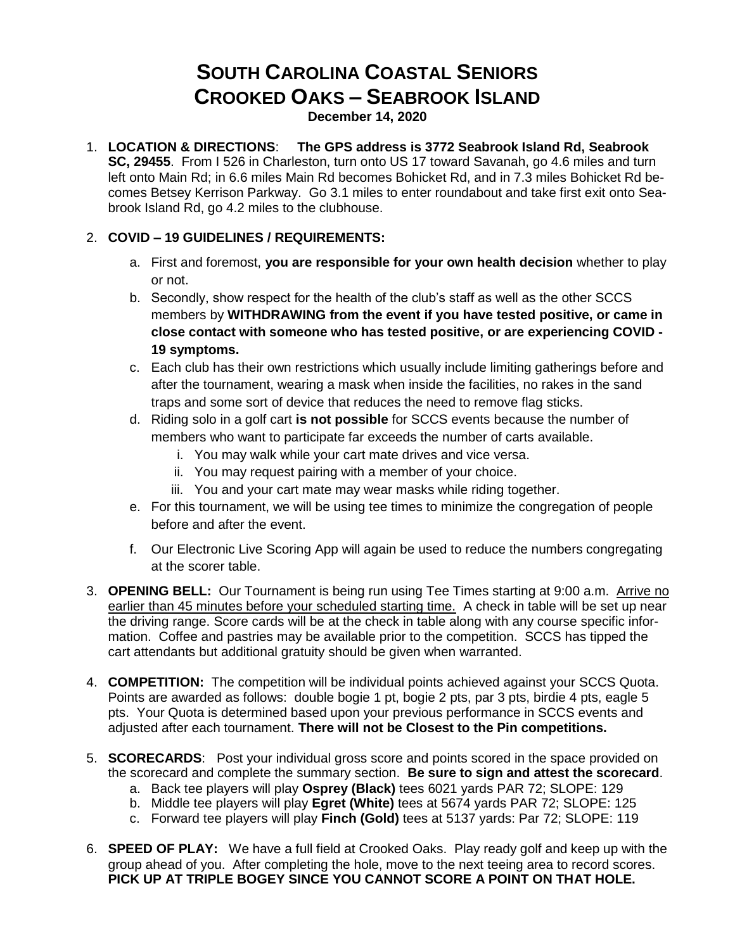## **SOUTH CAROLINA COASTAL SENIORS CROOKED OAKS – SEABROOK ISLAND**

**December 14, 2020**

1. **LOCATION & DIRECTIONS**: **The GPS address is 3772 Seabrook Island Rd, Seabrook SC, 29455**. From I 526 in Charleston, turn onto US 17 toward Savanah, go 4.6 miles and turn left onto Main Rd; in 6.6 miles Main Rd becomes Bohicket Rd, and in 7.3 miles Bohicket Rd becomes Betsey Kerrison Parkway. Go 3.1 miles to enter roundabout and take first exit onto Seabrook Island Rd, go 4.2 miles to the clubhouse.

## 2. **COVID – 19 GUIDELINES / REQUIREMENTS:**

- a. First and foremost, **you are responsible for your own health decision** whether to play or not.
- b. Secondly, show respect for the health of the club's staff as well as the other SCCS members by **WITHDRAWING from the event if you have tested positive, or came in close contact with someone who has tested positive, or are experiencing COVID - 19 symptoms.**
- c. Each club has their own restrictions which usually include limiting gatherings before and after the tournament, wearing a mask when inside the facilities, no rakes in the sand traps and some sort of device that reduces the need to remove flag sticks.
- d. Riding solo in a golf cart **is not possible** for SCCS events because the number of members who want to participate far exceeds the number of carts available.
	- i. You may walk while your cart mate drives and vice versa.
	- ii. You may request pairing with a member of your choice.
	- iii. You and your cart mate may wear masks while riding together.
- e. For this tournament, we will be using tee times to minimize the congregation of people before and after the event.
- f. Our Electronic Live Scoring App will again be used to reduce the numbers congregating at the scorer table.
- 3. **OPENING BELL:** Our Tournament is being run using Tee Times starting at 9:00 a.m. Arrive no earlier than 45 minutes before your scheduled starting time. A check in table will be set up near the driving range. Score cards will be at the check in table along with any course specific information. Coffee and pastries may be available prior to the competition. SCCS has tipped the cart attendants but additional gratuity should be given when warranted.
- 4. **COMPETITION:** The competition will be individual points achieved against your SCCS Quota. Points are awarded as follows: double bogie 1 pt, bogie 2 pts, par 3 pts, birdie 4 pts, eagle 5 pts. Your Quota is determined based upon your previous performance in SCCS events and adjusted after each tournament. **There will not be Closest to the Pin competitions.**
- 5. **SCORECARDS**: Post your individual gross score and points scored in the space provided on the scorecard and complete the summary section. **Be sure to sign and attest the scorecard**.
	- a. Back tee players will play **Osprey (Black)** tees 6021 yards PAR 72; SLOPE: 129
	- b. Middle tee players will play **Egret (White)** tees at 5674 yards PAR 72; SLOPE: 125
	- c. Forward tee players will play **Finch (Gold)** tees at 5137 yards: Par 72; SLOPE: 119
- 6. **SPEED OF PLAY:** We have a full field at Crooked Oaks. Play ready golf and keep up with the group ahead of you. After completing the hole, move to the next teeing area to record scores. **PICK UP AT TRIPLE BOGEY SINCE YOU CANNOT SCORE A POINT ON THAT HOLE.**